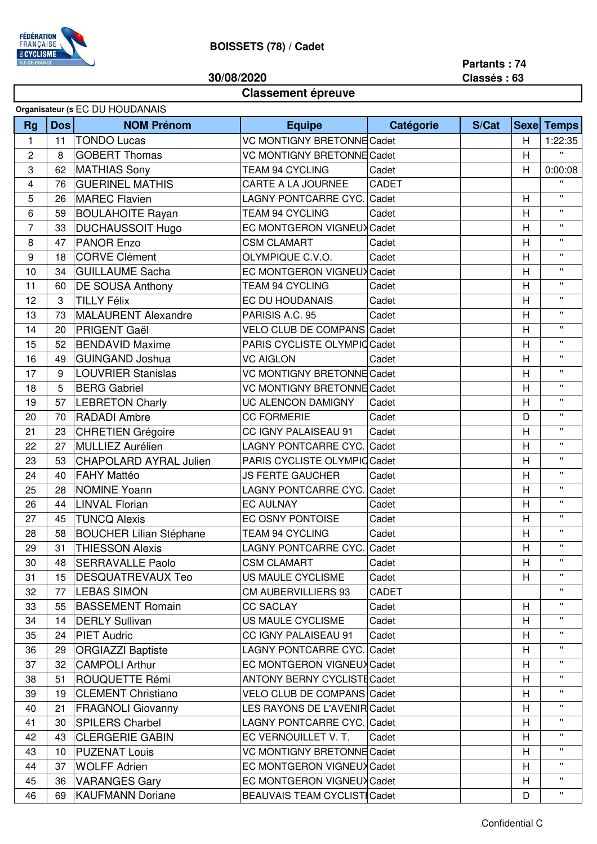

**30/08/2020**

**Partants : 74 Classés : 63**

## **Classement épreuve**

|                |                 | Organisateur (s EC DU HOUDANAIS |                                                    |                                     |       |                |                   |
|----------------|-----------------|---------------------------------|----------------------------------------------------|-------------------------------------|-------|----------------|-------------------|
| <b>Rg</b>      | <b>Dos</b>      | <b>NOM Prénom</b>               | <b>Equipe</b>                                      | Catégorie                           | S/Cat |                | <b>Sexe Temps</b> |
| 1              | 11              | <b>TONDO Lucas</b>              | <b>VC MONTIGNY BRETONNE Cadet</b>                  |                                     | Н     | 1:22:35        |                   |
| 2              | 8               | <b>GOBERT Thomas</b>            | <b>VC MONTIGNY BRETONNE Cadet</b>                  |                                     | Η     | π.             |                   |
| 3              | 62              | <b>MATHIAS Sony</b>             | <b>TEAM 94 CYCLING</b><br>Cadet                    |                                     |       | H              | 0:00:08           |
| 4              | 76              | <b>GUERINEL MATHIS</b>          | CARTE A LA JOURNEE<br>CADET                        |                                     |       |                | $\mathbf{H}$      |
| 5              | 26              | <b>MAREC Flavien</b>            | LAGNY PONTCARRE CYC.                               | Cadet                               |       | Н              | $\mathbf{H}$      |
| 6              | 59              | <b>BOULAHOITE Rayan</b>         | <b>TEAM 94 CYCLING</b>                             | Cadet                               |       | Η              | $\mathbf{H}$      |
| $\overline{7}$ | 33              | <b>DUCHAUSSOIT Hugo</b>         | EC MONTGERON VIGNEUX Cadet                         |                                     |       | Н              | $\mathbf{H}$      |
| 8              | 47              | <b>PANOR Enzo</b>               | <b>CSM CLAMART</b>                                 | Cadet                               |       | Η              | $\mathbf{H}$      |
| 9              | 18              | <b>CORVE Clément</b>            | OLYMPIQUE C.V.O.                                   | Cadet                               |       | $\overline{H}$ | $\mathbf{H}$      |
| 10             | 34              | <b>GUILLAUME Sacha</b>          | EC MONTGERON VIGNEUX Cadet                         |                                     |       | $\mathsf{H}$   | $\mathbf{H}$      |
| 11             | 60              | <b>DE SOUSA Anthony</b>         | <b>TEAM 94 CYCLING</b>                             | Cadet                               |       | H              | $\mathbf{H}$      |
| 12             | 3               | <b>TILLY Félix</b>              | EC DU HOUDANAIS                                    | Cadet                               |       | Н              | $\mathbf{H}$      |
| 13             | 73              | <b>MALAURENT Alexandre</b>      | PARISIS A.C. 95                                    | Cadet                               |       | Η              | $\mathbf{H}$      |
| 14             | 20              | PRIGENT Gaël                    | VELO CLUB DE COMPANS Cadet                         |                                     |       | $\overline{H}$ | $\mathbf{H}$      |
| 15             | 52              | <b>BENDAVID Maxime</b>          | PARIS CYCLISTE OLYMPIC Cadet                       |                                     |       | Η              | $\mathbf{H}$      |
| 16             | 49              | <b>GUINGAND Joshua</b>          | <b>VC AIGLON</b>                                   | Cadet                               |       | $\mathsf{H}$   | $\mathbf{H}$      |
| 17             | 9               | <b>LOUVRIER Stanislas</b>       | <b>VC MONTIGNY BRETONNE Cadet</b>                  |                                     |       | $\mathsf{H}$   | $\mathbf{H}$      |
| 18             | 5               | <b>BERG Gabriel</b>             | <b>VC MONTIGNY BRETONNE Cadet</b>                  |                                     |       | Н              | $\mathbf{H}$      |
| 19             | 57              | <b>LEBRETON Charly</b>          | UC ALENCON DAMIGNY                                 | Cadet                               |       | Η              | $\mathbf{H}$      |
| 20             | 70              | <b>RADADI Ambre</b>             | <b>CC FORMERIE</b>                                 | Cadet                               |       | D              | $\mathbf{H}$      |
| 21             | 23              | <b>CHRETIEN Grégoire</b>        | CC IGNY PALAISEAU 91                               | Cadet                               |       | H              | $\mathbf{H}$      |
| 22             | 27              | MULLIEZ Aurélien                | <b>LAGNY PONTCARRE CYC. Cadet</b>                  |                                     |       | $\mathsf{H}$   | $\mathbf{H}$      |
| 23             | 53              | <b>CHAPOLARD AYRAL Julien</b>   | PARIS CYCLISTE OLYMPIC Cadet                       |                                     |       | Η              | $\mathbf{H}$      |
| 24             | 40              | <b>FAHY Mattéo</b>              | <b>JS FERTE GAUCHER</b>                            | Cadet                               |       | $\mathsf{H}$   | $\mathbf{H}$      |
| 25             | 28              | <b>NOMINE Yoann</b>             | LAGNY PONTCARRE CYC.                               | Cadet                               |       | Н              | $\mathbf{H}$      |
| 26             | 44              | <b>LINVAL Florian</b>           | <b>EC AULNAY</b>                                   | Cadet                               |       | Н              | $\mathbf{H}$      |
| 27             | 45              | <b>TUNCQ Alexis</b>             | EC OSNY PONTOISE                                   | Cadet                               |       | Η              | $\mathbf{H}$      |
| 28             | 58              | <b>BOUCHER Lilian Stéphane</b>  | <b>TEAM 94 CYCLING</b>                             | Cadet                               |       | $\mathsf{H}$   | $\mathbf{H}$      |
| 29             | 31              | <b>THIESSON Alexis</b>          |                                                    |                                     |       | $\mathsf{H}$   | $\mathbf{H}$      |
| 30             | 48              | <b>SERRAVALLE Paolo</b>         | <b>CSM CLAMART</b>                                 | LAGNY PONTCARRE CYC. Cadet<br>Cadet |       | H              | $\mathbf{H}$      |
| 31             | 15 <sub>1</sub> | <b>DESQUATREVAUX Teo</b>        | US MAULE CYCLISME                                  | Cadet                               |       | Н              | $\mathbf{H}$      |
| 32             | 77              | <b>LEBAS SIMON</b>              | <b>CM AUBERVILLIERS 93</b>                         | CADET                               |       |                | $\mathbf{H}$      |
| 33             | 55              | <b>BASSEMENT Romain</b>         | <b>CC SACLAY</b>                                   | Cadet                               |       | Н              | $\mathbf{H}$      |
| 34             |                 | <b>DERLY Sullivan</b>           | US MAULE CYCLISME                                  | Cadet                               |       | H              | π.                |
|                | 14              |                                 |                                                    |                                     |       |                |                   |
| 35             | 24              | <b>PIET Audric</b>              | CC IGNY PALAISEAU 91<br>LAGNY PONTCARRE CYC. Cadet | Cadet                               |       | Н              | $\mathbf{H}$      |
| 36             | 29              | <b>ORGIAZZI Baptiste</b>        |                                                    |                                     |       | H              | $\mathbf{H}$      |
| 37             | 32              | <b>CAMPOLI Arthur</b>           | EC MONTGERON VIGNEUX Cadet                         |                                     |       | Н              |                   |
| 38             | 51              | ROUQUETTE Rémi                  | <b>ANTONY BERNY CYCLISTE Cadet</b>                 |                                     |       | Н              | π.                |
| 39             | 19              | <b>CLEMENT Christiano</b>       | VELO CLUB DE COMPANS Cadet                         |                                     |       | Н              | $\mathbf{H}$      |
| 40             | 21              | <b>FRAGNOLI Giovanny</b>        | LES RAYONS DE L'AVENIR Cadet                       |                                     |       | H              |                   |
| 41             | 30              | <b>SPILERS Charbel</b>          | LAGNY PONTCARRE CYC. Cadet                         |                                     |       | H              | $\mathbf{H}$      |
| 42             | 43              | <b>CLERGERIE GABIN</b>          | EC VERNOUILLET V. T.                               | Cadet                               |       | H              | $\mathbf{H}$      |
| 43             | 10              | <b>PUZENAT Louis</b>            | <b>VC MONTIGNY BRETONNE Cadet</b>                  |                                     |       | H              | $\mathbf{H}$      |
| 44             | 37              | <b>WOLFF Adrien</b>             | EC MONTGERON VIGNEUX Cadet                         |                                     |       | Н              | π.                |
| 45             | 36              | <b>VARANGES Gary</b>            | EC MONTGERON VIGNEUX Cadet                         |                                     |       | Η              | π.                |
| 46             | 69              | <b>KAUFMANN Doriane</b>         | <b>BEAUVAIS TEAM CYCLISTI Cadet</b>                |                                     |       | D              | Π.                |